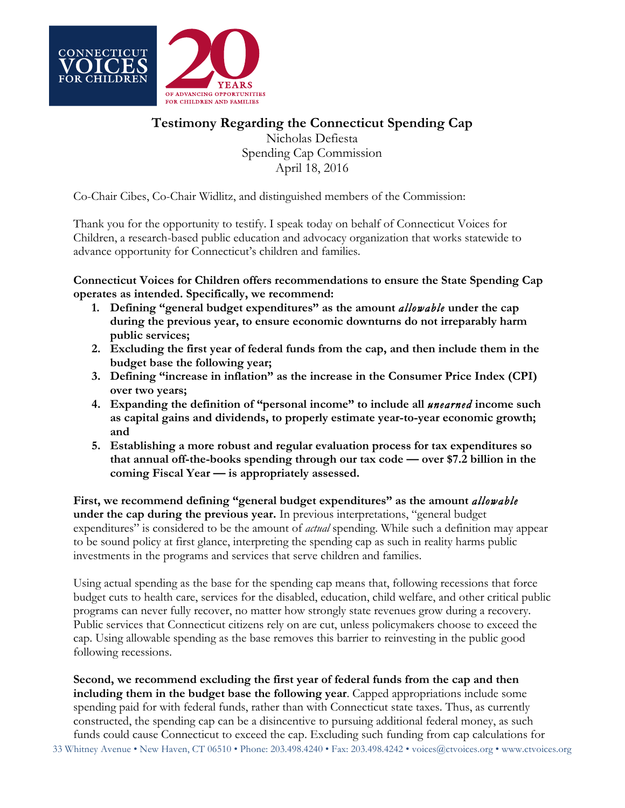

## **Testimony Regarding the Connecticut Spending Cap**

Nicholas Defiesta Spending Cap Commission April 18, 2016

Co-Chair Cibes, Co-Chair Widlitz, and distinguished members of the Commission:

Thank you for the opportunity to testify. I speak today on behalf of Connecticut Voices for Children, a research-based public education and advocacy organization that works statewide to advance opportunity for Connecticut's children and families.

**Connecticut Voices for Children offers recommendations to ensure the State Spending Cap operates as intended. Specifically, we recommend:**

- **1. Defining "general budget expenditures" as the amount** *allowable* **under the cap during the previous year, to ensure economic downturns do not irreparably harm public services;**
- **2. Excluding the first year of federal funds from the cap, and then include them in the budget base the following year;**
- **3. Defining "increase in inflation" as the increase in the Consumer Price Index (CPI) over two years;**
- **4. Expanding the definition of "personal income" to include all** *unearned* **income such as capital gains and dividends, to properly estimate year-to-year economic growth; and**
- **5. Establishing a more robust and regular evaluation process for tax expenditures so that annual off-the-books spending through our tax code — over \$7.2 billion in the coming Fiscal Year — is appropriately assessed.**

**First, we recommend defining "general budget expenditures" as the amount** *allowable* **under the cap during the previous year.** In previous interpretations, "general budget expenditures" is considered to be the amount of *actual* spending. While such a definition may appear to be sound policy at first glance, interpreting the spending cap as such in reality harms public investments in the programs and services that serve children and families.

Using actual spending as the base for the spending cap means that, following recessions that force budget cuts to health care, services for the disabled, education, child welfare, and other critical public programs can never fully recover, no matter how strongly state revenues grow during a recovery. Public services that Connecticut citizens rely on are cut, unless policymakers choose to exceed the cap. Using allowable spending as the base removes this barrier to reinvesting in the public good following recessions.

33 Whitney Avenue • New Haven, CT 06510 • Phone: 203.498.4240 • Fax: 203.498.4242 • voices@ctvoices.org • www.ctvoices.org **Second, we recommend excluding the first year of federal funds from the cap and then including them in the budget base the following year**. Capped appropriations include some spending paid for with federal funds, rather than with Connecticut state taxes. Thus, as currently constructed, the spending cap can be a disincentive to pursuing additional federal money, as such funds could cause Connecticut to exceed the cap. Excluding such funding from cap calculations for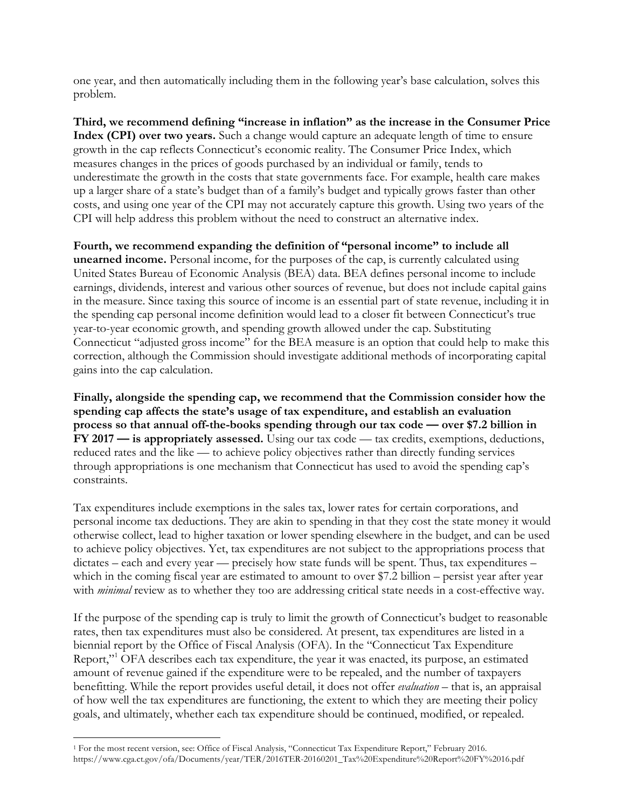one year, and then automatically including them in the following year's base calculation, solves this problem.

**Third, we recommend defining "increase in inflation" as the increase in the Consumer Price Index (CPI) over two years.** Such a change would capture an adequate length of time to ensure growth in the cap reflects Connecticut's economic reality. The Consumer Price Index, which measures changes in the prices of goods purchased by an individual or family, tends to underestimate the growth in the costs that state governments face. For example, health care makes up a larger share of a state's budget than of a family's budget and typically grows faster than other costs, and using one year of the CPI may not accurately capture this growth. Using two years of the CPI will help address this problem without the need to construct an alternative index.

**Fourth, we recommend expanding the definition of "personal income" to include all unearned income.** Personal income, for the purposes of the cap, is currently calculated using United States Bureau of Economic Analysis (BEA) data. BEA defines personal income to include earnings, dividends, interest and various other sources of revenue, but does not include capital gains in the measure. Since taxing this source of income is an essential part of state revenue, including it in the spending cap personal income definition would lead to a closer fit between Connecticut's true year-to-year economic growth, and spending growth allowed under the cap. Substituting Connecticut "adjusted gross income" for the BEA measure is an option that could help to make this correction, although the Commission should investigate additional methods of incorporating capital gains into the cap calculation.

**Finally, alongside the spending cap, we recommend that the Commission consider how the spending cap affects the state's usage of tax expenditure, and establish an evaluation process so that annual off-the-books spending through our tax code — over \$7.2 billion in FY 2017 — is appropriately assessed.** Using our tax code — tax credits, exemptions, deductions, reduced rates and the like — to achieve policy objectives rather than directly funding services through appropriations is one mechanism that Connecticut has used to avoid the spending cap's constraints.

Tax expenditures include exemptions in the sales tax, lower rates for certain corporations, and personal income tax deductions. They are akin to spending in that they cost the state money it would otherwise collect, lead to higher taxation or lower spending elsewhere in the budget, and can be used to achieve policy objectives. Yet, tax expenditures are not subject to the appropriations process that dictates – each and every year — precisely how state funds will be spent. Thus, tax expenditures – which in the coming fiscal year are estimated to amount to over \$7.2 billion – persist year after year with *minimal* review as to whether they too are addressing critical state needs in a cost-effective way.

If the purpose of the spending cap is truly to limit the growth of Connecticut's budget to reasonable rates, then tax expenditures must also be considered. At present, tax expenditures are listed in a biennial report by the Office of Fiscal Analysis (OFA). In the "Connecticut Tax Expenditure Report,"1 OFA describes each tax expenditure, the year it was enacted, its purpose, an estimated amount of revenue gained if the expenditure were to be repealed, and the number of taxpayers benefitting. While the report provides useful detail, it does not offer *evaluation* – that is, an appraisal of how well the tax expenditures are functioning, the extent to which they are meeting their policy goals, and ultimately, whether each tax expenditure should be continued, modified, or repealed.

 $\overline{a}$ 

<sup>1</sup> For the most recent version, see: Office of Fiscal Analysis, "Connecticut Tax Expenditure Report," February 2016. https://www.cga.ct.gov/ofa/Documents/year/TER/2016TER-20160201\_Tax%20Expenditure%20Report%20FY%2016.pdf